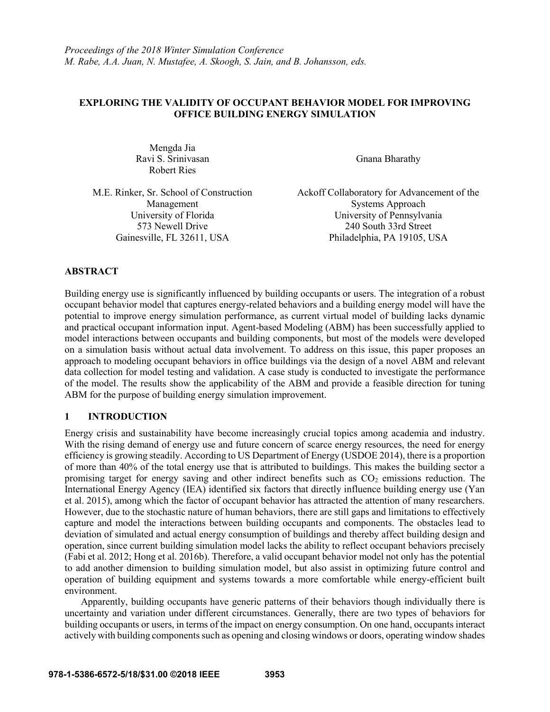# **EXPLORING THE VALIDITY OF OCCUPANT BEHAVIOR MODEL FOR IMPROVING OFFICE BUILDING ENERGY SIMULATION**

Mengda Jia Ravi S. Srinivasan Robert Ries

Gnana Bharathy

M.E. Rinker, Sr. School of Construction Management

Ackoff Collaboratory for Advancement of the Systems Approach University of Florida University of Pennsylvania 573 Newell Drive 240 South 33rd Street Gainesville, FL 32611, USA Philadelphia, PA 19105, USA

# **ABSTRACT**

Building energy use is significantly influenced by building occupants or users. The integration of a robust occupant behavior model that captures energy-related behaviors and a building energy model will have the potential to improve energy simulation performance, as current virtual model of building lacks dynamic and practical occupant information input. Agent-based Modeling (ABM) has been successfully applied to model interactions between occupants and building components, but most of the models were developed on a simulation basis without actual data involvement. To address on this issue, this paper proposes an approach to modeling occupant behaviors in office buildings via the design of a novel ABM and relevant data collection for model testing and validation. A case study is conducted to investigate the performance of the model. The results show the applicability of the ABM and provide a feasible direction for tuning ABM for the purpose of building energy simulation improvement.

# **1 INTRODUCTION**

Energy crisis and sustainability have become increasingly crucial topics among academia and industry. With the rising demand of energy use and future concern of scarce energy resources, the need for energy efficiency is growing steadily. According to US Department of Energy (USDOE 2014), there is a proportion of more than 40% of the total energy use that is attributed to buildings. This makes the building sector a promising target for energy saving and other indirect benefits such as  $CO<sub>2</sub>$  emissions reduction. The International Energy Agency (IEA) identified six factors that directly influence building energy use (Yan et al. 2015), among which the factor of occupant behavior has attracted the attention of many researchers. However, due to the stochastic nature of human behaviors, there are still gaps and limitations to effectively capture and model the interactions between building occupants and components. The obstacles lead to deviation of simulated and actual energy consumption of buildings and thereby affect building design and operation, since current building simulation model lacks the ability to reflect occupant behaviors precisely (Fabi et al. 2012; Hong et al. 2016b). Therefore, a valid occupant behavior model not only has the potential to add another dimension to building simulation model, but also assist in optimizing future control and operation of building equipment and systems towards a more comfortable while energy-efficient built environment.

Apparently, building occupants have generic patterns of their behaviors though individually there is uncertainty and variation under different circumstances. Generally, there are two types of behaviors for building occupants or users, in terms of the impact on energy consumption. On one hand, occupants interact actively with building components such as opening and closing windows or doors, operating window shades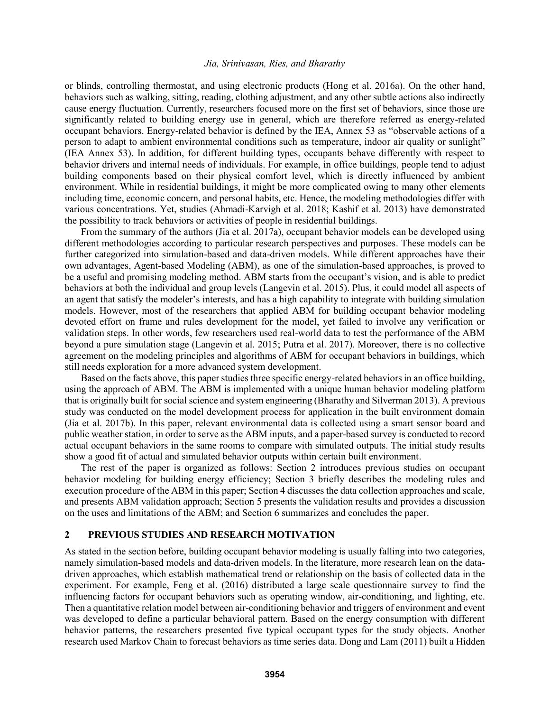or blinds, controlling thermostat, and using electronic products (Hong et al. 2016a). On the other hand, behaviors such as walking, sitting, reading, clothing adjustment, and any other subtle actions also indirectly cause energy fluctuation. Currently, researchers focused more on the first set of behaviors, since those are significantly related to building energy use in general, which are therefore referred as energy-related occupant behaviors. Energy-related behavior is defined by the IEA, Annex 53 as "observable actions of a person to adapt to ambient environmental conditions such as temperature, indoor air quality or sunlight" (IEA Annex 53). In addition, for different building types, occupants behave differently with respect to behavior drivers and internal needs of individuals. For example, in office buildings, people tend to adjust building components based on their physical comfort level, which is directly influenced by ambient environment. While in residential buildings, it might be more complicated owing to many other elements including time, economic concern, and personal habits, etc. Hence, the modeling methodologies differ with various concentrations. Yet, studies (Ahmadi-Karvigh et al. 2018; Kashif et al. 2013) have demonstrated the possibility to track behaviors or activities of people in residential buildings.

From the summary of the authors (Jia et al. 2017a), occupant behavior models can be developed using different methodologies according to particular research perspectives and purposes. These models can be further categorized into simulation-based and data-driven models. While different approaches have their own advantages, Agent-based Modeling (ABM), as one of the simulation-based approaches, is proved to be a useful and promising modeling method. ABM starts from the occupant's vision, and is able to predict behaviors at both the individual and group levels (Langevin et al. 2015). Plus, it could model all aspects of an agent that satisfy the modeler's interests, and has a high capability to integrate with building simulation models. However, most of the researchers that applied ABM for building occupant behavior modeling devoted effort on frame and rules development for the model, yet failed to involve any verification or validation steps. In other words, few researchers used real-world data to test the performance of the ABM beyond a pure simulation stage (Langevin et al. 2015; Putra et al. 2017). Moreover, there is no collective agreement on the modeling principles and algorithms of ABM for occupant behaviors in buildings, which still needs exploration for a more advanced system development.

Based on the facts above, this paper studies three specific energy-related behaviors in an office building, using the approach of ABM. The ABM is implemented with a unique human behavior modeling platform that is originally built for social science and system engineering (Bharathy and Silverman 2013). A previous study was conducted on the model development process for application in the built environment domain (Jia et al. 2017b). In this paper, relevant environmental data is collected using a smart sensor board and public weather station, in order to serve as the ABM inputs, and a paper-based survey is conducted to record actual occupant behaviors in the same rooms to compare with simulated outputs. The initial study results show a good fit of actual and simulated behavior outputs within certain built environment.

The rest of the paper is organized as follows: Section 2 introduces previous studies on occupant behavior modeling for building energy efficiency; Section 3 briefly describes the modeling rules and execution procedure of the ABM in this paper; Section 4 discusses the data collection approaches and scale, and presents ABM validation approach; Section 5 presents the validation results and provides a discussion on the uses and limitations of the ABM; and Section 6 summarizes and concludes the paper.

### **2 PREVIOUS STUDIES AND RESEARCH MOTIVATION**

As stated in the section before, building occupant behavior modeling is usually falling into two categories, namely simulation-based models and data-driven models. In the literature, more research lean on the datadriven approaches, which establish mathematical trend or relationship on the basis of collected data in the experiment. For example, Feng et al. (2016) distributed a large scale questionnaire survey to find the influencing factors for occupant behaviors such as operating window, air-conditioning, and lighting, etc. Then a quantitative relation model between air-conditioning behavior and triggers of environment and event was developed to define a particular behavioral pattern. Based on the energy consumption with different behavior patterns, the researchers presented five typical occupant types for the study objects. Another research used Markov Chain to forecast behaviors as time series data. Dong and Lam (2011) built a Hidden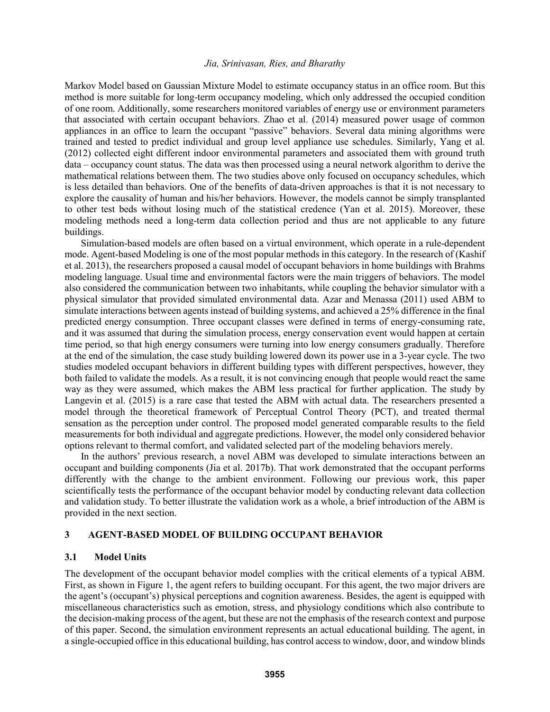Markov Model based on Gaussian Mixture Model to estimate occupancy status in an office room. But this method is more suitable for long-term occupancy modeling, which only addressed the occupied condition of one room. Additionally, some researchers monitored variables of energy use or environment parameters that associated with certain occupant behaviors. Zhao et al. (2014) measured power usage of common appliances in an office to learn the occupant "passive" behaviors. Several data mining algorithms were trained and tested to predict individual and group level appliance use schedules. Similarly, Yang et al. (2012) collected eight different indoor environmental parameters and associated them with ground truth data – occupancy count status. The data was then processed using a neural network algorithm to derive the mathematical relations between them. The two studies above only focused on occupancy schedules, which is less detailed than behaviors. One of the benefits of data-driven approaches is that it is not necessary to explore the causality of human and his/her behaviors. However, the models cannot be simply transplanted to other test beds without losing much of the statistical credence (Yan et al. 2015). Moreover, these modeling methods need a long-term data collection period and thus are not applicable to any future buildings.

Simulation-based models are often based on a virtual environment, which operate in a rule-dependent mode. Agent-based Modeling is one of the most popular methods in this category. In the research of (Kashif et al. 2013), the researchers proposed a causal model of occupant behaviors in home buildings with Brahms modeling language. Usual time and environmental factors were the main triggers of behaviors. The model also considered the communication between two inhabitants, while coupling the behavior simulator with a physical simulator that provided simulated environmental data. Azar and Menassa (2011) used ABM to simulate interactions between agents instead of building systems, and achieved a 25% difference in the final predicted energy consumption. Three occupant classes were defined in terms of energy-consuming rate, and it was assumed that during the simulation process, energy conservation event would happen at certain time period, so that high energy consumers were turning into low energy consumers gradually. Therefore at the end of the simulation, the case study building lowered down its power use in a 3-year cycle. The two studies modeled occupant behaviors in different building types with different perspectives, however, they both failed to validate the models. As a result, it is not convincing enough that people would react the same way as they were assumed, which makes the ABM less practical for further application. The study by Langevin et al. (2015) is a rare case that tested the ABM with actual data. The researchers presented a model through the theoretical framework of Perceptual Control Theory (PCT), and treated thermal sensation as the perception under control. The proposed model generated comparable results to the field measurements for both individual and aggregate predictions. However, the model only considered behavior options relevant to thermal comfort, and validated selected part of the modeling behaviors merely.

In the authors' previous research, a novel ABM was developed to simulate interactions between an occupant and building components (Jia et al. 2017b). That work demonstrated that the occupant performs differently with the change to the ambient environment. Following our previous work, this paper scientifically tests the performance of the occupant behavior model by conducting relevant data collection and validation study. To better illustrate the validation work as a whole, a brief introduction of the ABM is provided in the next section.

# **3 AGENT-BASED MODEL OF BUILDING OCCUPANT BEHAVIOR**

#### **3.1 Model Units**

The development of the occupant behavior model complies with the critical elements of a typical ABM. First, as shown in Figure 1, the agent refers to building occupant. For this agent, the two major drivers are the agent's (occupant's) physical perceptions and cognition awareness. Besides, the agent is equipped with miscellaneous characteristics such as emotion, stress, and physiology conditions which also contribute to the decision-making process of the agent, but these are not the emphasis of the research context and purpose of this paper. Second, the simulation environment represents an actual educational building. The agent, in a single-occupied office in this educational building, has control access to window, door, and window blinds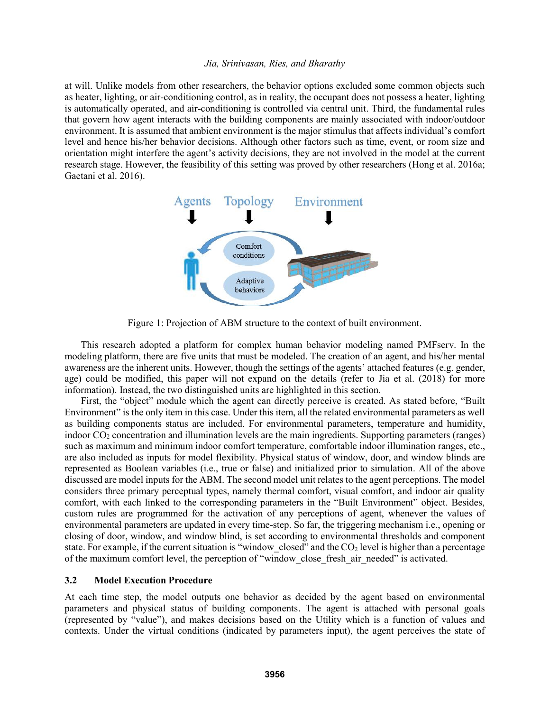at will. Unlike models from other researchers, the behavior options excluded some common objects such as heater, lighting, or air-conditioning control, as in reality, the occupant does not possess a heater, lighting is automatically operated, and air-conditioning is controlled via central unit. Third, the fundamental rules that govern how agent interacts with the building components are mainly associated with indoor/outdoor environment. It is assumed that ambient environment is the major stimulus that affects individual's comfort level and hence his/her behavior decisions. Although other factors such as time, event, or room size and orientation might interfere the agent's activity decisions, they are not involved in the model at the current research stage. However, the feasibility of this setting was proved by other researchers (Hong et al. 2016a; Gaetani et al. 2016).



Figure 1: Projection of ABM structure to the context of built environment.

This research adopted a platform for complex human behavior modeling named PMFserv. In the modeling platform, there are five units that must be modeled. The creation of an agent, and his/her mental awareness are the inherent units. However, though the settings of the agents' attached features (e.g. gender, age) could be modified, this paper will not expand on the details (refer to Jia et al. (2018) for more information). Instead, the two distinguished units are highlighted in this section.

First, the "object" module which the agent can directly perceive is created. As stated before, "Built Environment" is the only item in this case. Under this item, all the related environmental parameters as well as building components status are included. For environmental parameters, temperature and humidity, indoor CO<sup>2</sup> concentration and illumination levels are the main ingredients. Supporting parameters (ranges) such as maximum and minimum indoor comfort temperature, comfortable indoor illumination ranges, etc., are also included as inputs for model flexibility. Physical status of window, door, and window blinds are represented as Boolean variables (i.e., true or false) and initialized prior to simulation. All of the above discussed are model inputs for the ABM. The second model unit relates to the agent perceptions. The model considers three primary perceptual types, namely thermal comfort, visual comfort, and indoor air quality comfort, with each linked to the corresponding parameters in the "Built Environment" object. Besides, custom rules are programmed for the activation of any perceptions of agent, whenever the values of environmental parameters are updated in every time-step. So far, the triggering mechanism i.e., opening or closing of door, window, and window blind, is set according to environmental thresholds and component state. For example, if the current situation is "window closed" and the CO<sub>2</sub> level is higher than a percentage of the maximum comfort level, the perception of "window\_close\_fresh\_air\_needed" is activated.

### **3.2 Model Execution Procedure**

At each time step, the model outputs one behavior as decided by the agent based on environmental parameters and physical status of building components. The agent is attached with personal goals (represented by "value"), and makes decisions based on the Utility which is a function of values and contexts. Under the virtual conditions (indicated by parameters input), the agent perceives the state of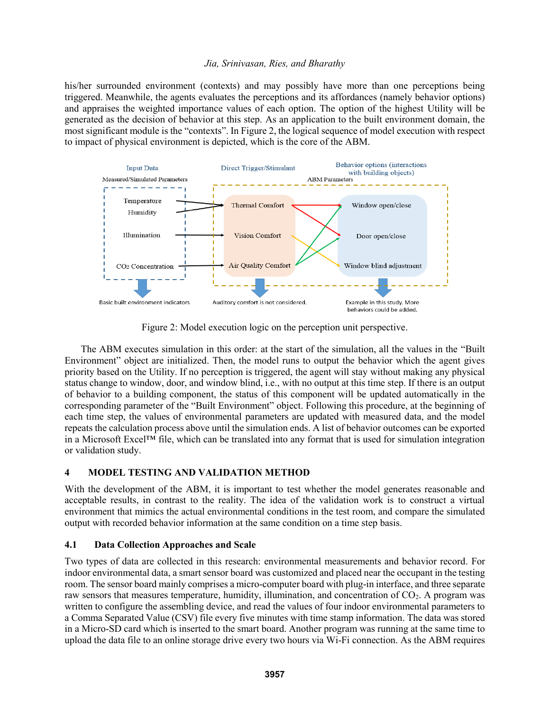his/her surrounded environment (contexts) and may possibly have more than one perceptions being triggered. Meanwhile, the agents evaluates the perceptions and its affordances (namely behavior options) and appraises the weighted importance values of each option. The option of the highest Utility will be generated as the decision of behavior at this step. As an application to the built environment domain, the most significant module is the "contexts". In Figure 2, the logical sequence of model execution with respect to impact of physical environment is depicted, which is the core of the ABM.



Figure 2: Model execution logic on the perception unit perspective.

The ABM executes simulation in this order: at the start of the simulation, all the values in the "Built Environment" object are initialized. Then, the model runs to output the behavior which the agent gives priority based on the Utility. If no perception is triggered, the agent will stay without making any physical status change to window, door, and window blind, i.e., with no output at this time step. If there is an output of behavior to a building component, the status of this component will be updated automatically in the corresponding parameter of the "Built Environment" object. Following this procedure, at the beginning of each time step, the values of environmental parameters are updated with measured data, and the model repeats the calculation process above until the simulation ends. A list of behavior outcomes can be exported in a Microsoft Excel™ file, which can be translated into any format that is used for simulation integration or validation study.

# **4 MODEL TESTING AND VALIDATION METHOD**

With the development of the ABM, it is important to test whether the model generates reasonable and acceptable results, in contrast to the reality. The idea of the validation work is to construct a virtual environment that mimics the actual environmental conditions in the test room, and compare the simulated output with recorded behavior information at the same condition on a time step basis.

## **4.1 Data Collection Approaches and Scale**

Two types of data are collected in this research: environmental measurements and behavior record. For indoor environmental data, a smart sensor board was customized and placed near the occupant in the testing room. The sensor board mainly comprises a micro-computer board with plug-in interface, and three separate raw sensors that measures temperature, humidity, illumination, and concentration of CO<sub>2</sub>. A program was written to configure the assembling device, and read the values of four indoor environmental parameters to a Comma Separated Value (CSV) file every five minutes with time stamp information. The data was stored in a Micro-SD card which is inserted to the smart board. Another program was running at the same time to upload the data file to an online storage drive every two hours via Wi-Fi connection. As the ABM requires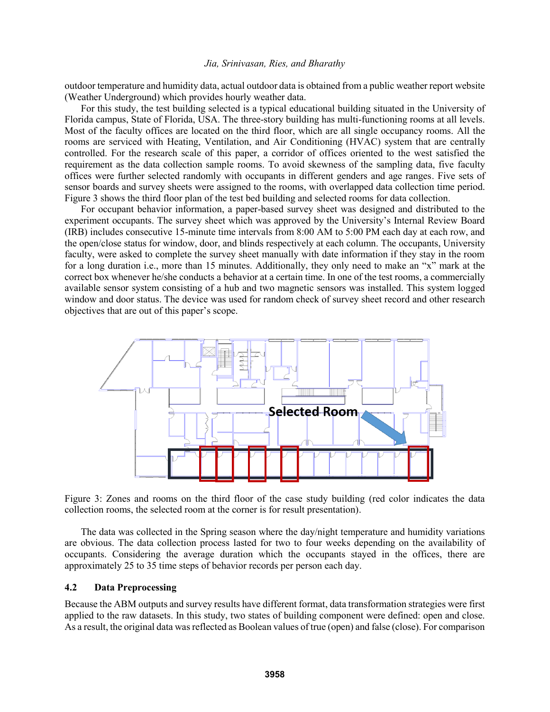outdoor temperature and humidity data, actual outdoor data is obtained from a public weather report website (Weather Underground) which provides hourly weather data.

For this study, the test building selected is a typical educational building situated in the University of Florida campus, State of Florida, USA. The three-story building has multi-functioning rooms at all levels. Most of the faculty offices are located on the third floor, which are all single occupancy rooms. All the rooms are serviced with Heating, Ventilation, and Air Conditioning (HVAC) system that are centrally controlled. For the research scale of this paper, a corridor of offices oriented to the west satisfied the requirement as the data collection sample rooms. To avoid skewness of the sampling data, five faculty offices were further selected randomly with occupants in different genders and age ranges. Five sets of sensor boards and survey sheets were assigned to the rooms, with overlapped data collection time period. Figure 3 shows the third floor plan of the test bed building and selected rooms for data collection.

For occupant behavior information, a paper-based survey sheet was designed and distributed to the experiment occupants. The survey sheet which was approved by the University's Internal Review Board (IRB) includes consecutive 15-minute time intervals from 8:00 AM to 5:00 PM each day at each row, and the open/close status for window, door, and blinds respectively at each column. The occupants, University faculty, were asked to complete the survey sheet manually with date information if they stay in the room for a long duration i.e., more than 15 minutes. Additionally, they only need to make an "x" mark at the correct box whenever he/she conducts a behavior at a certain time. In one of the test rooms, a commercially available sensor system consisting of a hub and two magnetic sensors was installed. This system logged window and door status. The device was used for random check of survey sheet record and other research objectives that are out of this paper's scope.



Figure 3: Zones and rooms on the third floor of the case study building (red color indicates the data collection rooms, the selected room at the corner is for result presentation).

The data was collected in the Spring season where the day/night temperature and humidity variations are obvious. The data collection process lasted for two to four weeks depending on the availability of occupants. Considering the average duration which the occupants stayed in the offices, there are approximately 25 to 35 time steps of behavior records per person each day.

#### **4.2 Data Preprocessing**

Because the ABM outputs and survey results have different format, data transformation strategies were first applied to the raw datasets. In this study, two states of building component were defined: open and close. As a result, the original data was reflected as Boolean values of true (open) and false (close). For comparison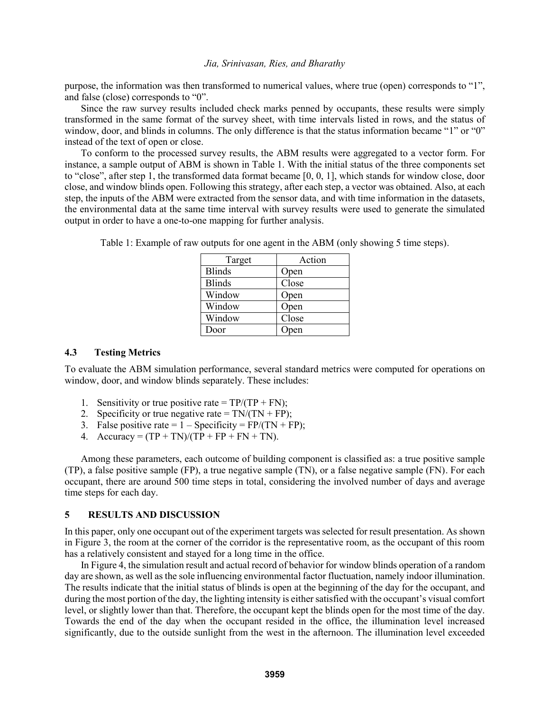purpose, the information was then transformed to numerical values, where true (open) corresponds to "1", and false (close) corresponds to "0".

Since the raw survey results included check marks penned by occupants, these results were simply transformed in the same format of the survey sheet, with time intervals listed in rows, and the status of window, door, and blinds in columns. The only difference is that the status information became "1" or "0" instead of the text of open or close.

To conform to the processed survey results, the ABM results were aggregated to a vector form. For instance, a sample output of ABM is shown in Table 1. With the initial status of the three components set to "close", after step 1, the transformed data format became [0, 0, 1], which stands for window close, door close, and window blinds open. Following this strategy, after each step, a vector was obtained. Also, at each step, the inputs of the ABM were extracted from the sensor data, and with time information in the datasets, the environmental data at the same time interval with survey results were used to generate the simulated output in order to have a one-to-one mapping for further analysis.

| Target        | Action |  |
|---------------|--------|--|
| <b>Blinds</b> | Open   |  |
| <b>Blinds</b> | Close  |  |
| Window        | Open   |  |
| Window        | Open   |  |
| Window        | Close  |  |
| Door          | Open   |  |

Table 1: Example of raw outputs for one agent in the ABM (only showing 5 time steps).

### **4.3 Testing Metrics**

To evaluate the ABM simulation performance, several standard metrics were computed for operations on window, door, and window blinds separately. These includes:

- 1. Sensitivity or true positive rate =  $TP/(TP + FN)$ ;
- 2. Specificity or true negative rate =  $TN/(TN + FP)$ ;
- 3. False positive rate =  $1 -$ Specificity = FP/(TN + FP);
- 4. Accuracy =  $(TP + TN)/(TP + FP + FN + TN)$ .

Among these parameters, each outcome of building component is classified as: a true positive sample (TP), a false positive sample (FP), a true negative sample (TN), or a false negative sample (FN). For each occupant, there are around 500 time steps in total, considering the involved number of days and average time steps for each day.

### **5 RESULTS AND DISCUSSION**

In this paper, only one occupant out of the experiment targets was selected for result presentation. As shown in Figure 3, the room at the corner of the corridor is the representative room, as the occupant of this room has a relatively consistent and stayed for a long time in the office.

In Figure 4, the simulation result and actual record of behavior for window blinds operation of a random day are shown, as well as the sole influencing environmental factor fluctuation, namely indoor illumination. The results indicate that the initial status of blinds is open at the beginning of the day for the occupant, and during the most portion of the day, the lighting intensity is either satisfied with the occupant's visual comfort level, or slightly lower than that. Therefore, the occupant kept the blinds open for the most time of the day. Towards the end of the day when the occupant resided in the office, the illumination level increased significantly, due to the outside sunlight from the west in the afternoon. The illumination level exceeded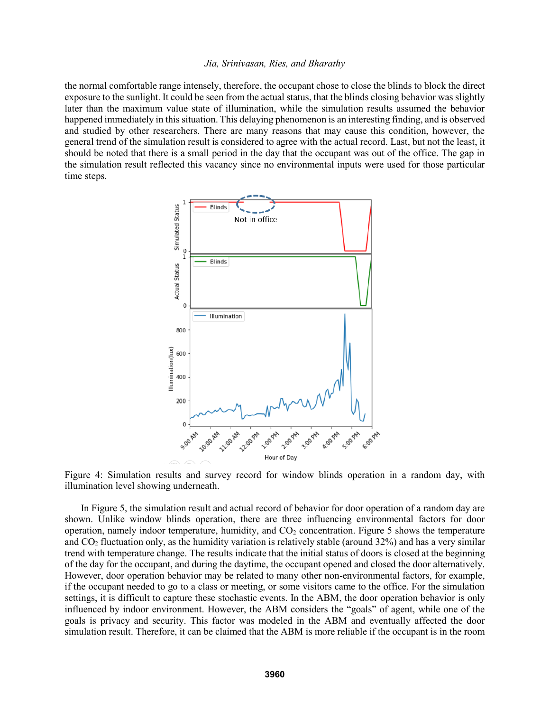the normal comfortable range intensely, therefore, the occupant chose to close the blinds to block the direct exposure to the sunlight. It could be seen from the actual status, that the blinds closing behavior was slightly later than the maximum value state of illumination, while the simulation results assumed the behavior happened immediately in this situation. This delaying phenomenon is an interesting finding, and is observed and studied by other researchers. There are many reasons that may cause this condition, however, the general trend of the simulation result is considered to agree with the actual record. Last, but not the least, it should be noted that there is a small period in the day that the occupant was out of the office. The gap in the simulation result reflected this vacancy since no environmental inputs were used for those particular time steps.



Figure 4: Simulation results and survey record for window blinds operation in a random day, with illumination level showing underneath.

In Figure 5, the simulation result and actual record of behavior for door operation of a random day are shown. Unlike window blinds operation, there are three influencing environmental factors for door operation, namely indoor temperature, humidity, and  $CO<sub>2</sub>$  concentration. Figure 5 shows the temperature and CO<sup>2</sup> fluctuation only, as the humidity variation is relatively stable (around 32%) and has a very similar trend with temperature change. The results indicate that the initial status of doors is closed at the beginning of the day for the occupant, and during the daytime, the occupant opened and closed the door alternatively. However, door operation behavior may be related to many other non-environmental factors, for example, if the occupant needed to go to a class or meeting, or some visitors came to the office. For the simulation settings, it is difficult to capture these stochastic events. In the ABM, the door operation behavior is only influenced by indoor environment. However, the ABM considers the "goals" of agent, while one of the goals is privacy and security. This factor was modeled in the ABM and eventually affected the door simulation result. Therefore, it can be claimed that the ABM is more reliable if the occupant is in the room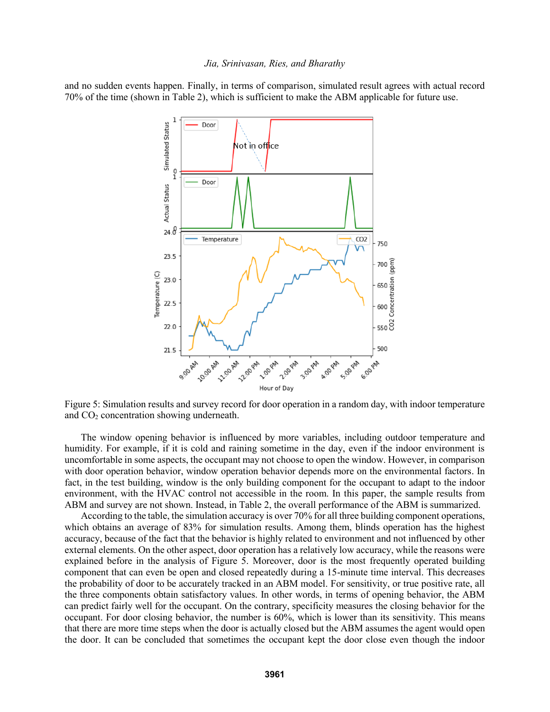and no sudden events happen. Finally, in terms of comparison, simulated result agrees with actual record 70% of the time (shown in Table 2), which is sufficient to make the ABM applicable for future use.



Figure 5: Simulation results and survey record for door operation in a random day, with indoor temperature and CO<sup>2</sup> concentration showing underneath.

The window opening behavior is influenced by more variables, including outdoor temperature and humidity. For example, if it is cold and raining sometime in the day, even if the indoor environment is uncomfortable in some aspects, the occupant may not choose to open the window. However, in comparison with door operation behavior, window operation behavior depends more on the environmental factors. In fact, in the test building, window is the only building component for the occupant to adapt to the indoor environment, with the HVAC control not accessible in the room. In this paper, the sample results from ABM and survey are not shown. Instead, in Table 2, the overall performance of the ABM is summarized.

According to the table, the simulation accuracy is over 70% for all three building component operations, which obtains an average of 83% for simulation results. Among them, blinds operation has the highest accuracy, because of the fact that the behavior is highly related to environment and not influenced by other external elements. On the other aspect, door operation has a relatively low accuracy, while the reasons were explained before in the analysis of Figure 5. Moreover, door is the most frequently operated building component that can even be open and closed repeatedly during a 15-minute time interval. This decreases the probability of door to be accurately tracked in an ABM model. For sensitivity, or true positive rate, all the three components obtain satisfactory values. In other words, in terms of opening behavior, the ABM can predict fairly well for the occupant. On the contrary, specificity measures the closing behavior for the occupant. For door closing behavior, the number is 60%, which is lower than its sensitivity. This means that there are more time steps when the door is actually closed but the ABM assumes the agent would open the door. It can be concluded that sometimes the occupant kept the door close even though the indoor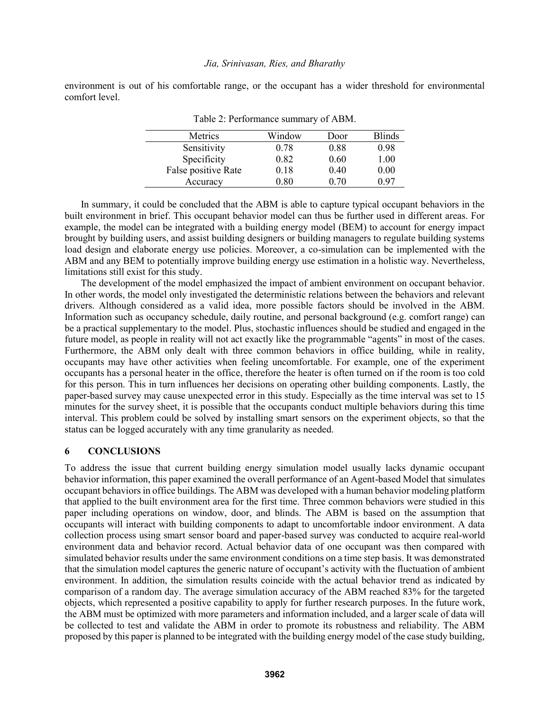environment is out of his comfortable range, or the occupant has a wider threshold for environmental comfort level.

| $1$ and $2$ . I chromination summary of $1$ and $\overline{1}$ . |        |      |               |
|------------------------------------------------------------------|--------|------|---------------|
| Metrics                                                          | Window | Door | <b>Blinds</b> |
| Sensitivity                                                      | 0.78   | 0.88 | 0.98          |
| Specificity                                                      | 0.82   | 0.60 | 1.00          |
| False positive Rate                                              | 0.18   | 0.40 | 0.00          |
| Accuracy                                                         | 0.80   | 0.70 | 0.97          |

Table 2: Performance summary of ABM.

In summary, it could be concluded that the ABM is able to capture typical occupant behaviors in the built environment in brief. This occupant behavior model can thus be further used in different areas. For example, the model can be integrated with a building energy model (BEM) to account for energy impact brought by building users, and assist building designers or building managers to regulate building systems load design and elaborate energy use policies. Moreover, a co-simulation can be implemented with the ABM and any BEM to potentially improve building energy use estimation in a holistic way. Nevertheless, limitations still exist for this study.

The development of the model emphasized the impact of ambient environment on occupant behavior. In other words, the model only investigated the deterministic relations between the behaviors and relevant drivers. Although considered as a valid idea, more possible factors should be involved in the ABM. Information such as occupancy schedule, daily routine, and personal background (e.g. comfort range) can be a practical supplementary to the model. Plus, stochastic influences should be studied and engaged in the future model, as people in reality will not act exactly like the programmable "agents" in most of the cases. Furthermore, the ABM only dealt with three common behaviors in office building, while in reality, occupants may have other activities when feeling uncomfortable. For example, one of the experiment occupants has a personal heater in the office, therefore the heater is often turned on if the room is too cold for this person. This in turn influences her decisions on operating other building components. Lastly, the paper-based survey may cause unexpected error in this study. Especially as the time interval was set to 15 minutes for the survey sheet, it is possible that the occupants conduct multiple behaviors during this time interval. This problem could be solved by installing smart sensors on the experiment objects, so that the status can be logged accurately with any time granularity as needed.

### **6 CONCLUSIONS**

To address the issue that current building energy simulation model usually lacks dynamic occupant behavior information, this paper examined the overall performance of an Agent-based Model that simulates occupant behaviors in office buildings. The ABM was developed with a human behavior modeling platform that applied to the built environment area for the first time. Three common behaviors were studied in this paper including operations on window, door, and blinds. The ABM is based on the assumption that occupants will interact with building components to adapt to uncomfortable indoor environment. A data collection process using smart sensor board and paper-based survey was conducted to acquire real-world environment data and behavior record. Actual behavior data of one occupant was then compared with simulated behavior results under the same environment conditions on a time step basis. It was demonstrated that the simulation model captures the generic nature of occupant's activity with the fluctuation of ambient environment. In addition, the simulation results coincide with the actual behavior trend as indicated by comparison of a random day. The average simulation accuracy of the ABM reached 83% for the targeted objects, which represented a positive capability to apply for further research purposes. In the future work, the ABM must be optimized with more parameters and information included, and a larger scale of data will be collected to test and validate the ABM in order to promote its robustness and reliability. The ABM proposed by this paper is planned to be integrated with the building energy model of the case study building,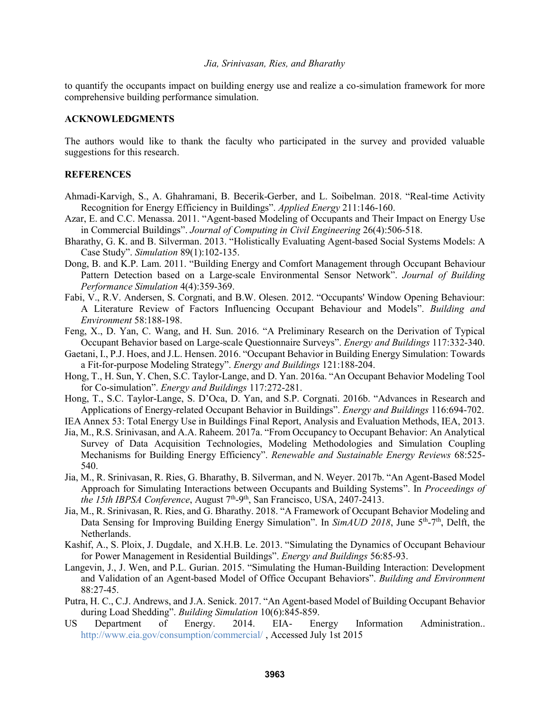to quantify the occupants impact on building energy use and realize a co-simulation framework for more comprehensive building performance simulation.

#### **ACKNOWLEDGMENTS**

The authors would like to thank the faculty who participated in the survey and provided valuable suggestions for this research.

## **REFERENCES**

- Ahmadi-Karvigh, S., A. Ghahramani, B. Becerik-Gerber, and L. Soibelman. 2018. "Real-time Activity Recognition for Energy Efficiency in Buildings". *Applied Energy* 211:146-160.
- Azar, E. and C.C. Menassa. 2011. "Agent-based Modeling of Occupants and Their Impact on Energy Use in Commercial Buildings". *Journal of Computing in Civil Engineering* 26(4):506-518.
- Bharathy, G. K. and B. Silverman. 2013. "Holistically Evaluating Agent-based Social Systems Models: A Case Study". *Simulation* 89(1):102-135.
- Dong, B. and K.P. Lam. 2011. "Building Energy and Comfort Management through Occupant Behaviour Pattern Detection based on a Large-scale Environmental Sensor Network". *Journal of Building Performance Simulation* 4(4):359-369.
- Fabi, V., R.V. Andersen, S. Corgnati, and B.W. Olesen. 2012. "Occupants' Window Opening Behaviour: A Literature Review of Factors Influencing Occupant Behaviour and Models". *Building and Environment* 58:188-198.
- Feng, X., D. Yan, C. Wang, and H. Sun. 2016. "A Preliminary Research on the Derivation of Typical Occupant Behavior based on Large-scale Questionnaire Surveys". *Energy and Buildings* 117:332-340.
- Gaetani, I., P.J. Hoes, and J.L. Hensen. 2016. "Occupant Behavior in Building Energy Simulation: Towards a Fit-for-purpose Modeling Strategy". *Energy and Buildings* 121:188-204.
- Hong, T., H. Sun, Y. Chen, S.C. Taylor-Lange, and D. Yan. 2016a. "An Occupant Behavior Modeling Tool for Co-simulation". *Energy and Buildings* 117:272-281.
- Hong, T., S.C. Taylor-Lange, S. D'Oca, D. Yan, and S.P. Corgnati. 2016b. "Advances in Research and Applications of Energy-related Occupant Behavior in Buildings". *Energy and Buildings* 116:694-702.
- IEA Annex 53: Total Energy Use in Buildings Final Report, Analysis and Evaluation Methods, IEA, 2013.
- Jia, M., R.S. Srinivasan, and A.A. Raheem. 2017a. "From Occupancy to Occupant Behavior: An Analytical Survey of Data Acquisition Technologies, Modeling Methodologies and Simulation Coupling Mechanisms for Building Energy Efficiency". *Renewable and Sustainable Energy Reviews* 68:525- 540.
- Jia, M., R. Srinivasan, R. Ries, G. Bharathy, B. Silverman, and N. Weyer. 2017b. "An Agent-Based Model Approach for Simulating Interactions between Occupants and Building Systems". In *Proceedings of*  the 15th IBPSA Conference, August 7<sup>th</sup>-9<sup>th</sup>, San Francisco, USA, 2407-2413.
- Jia, M., R. Srinivasan, R. Ries, and G. Bharathy. 2018. "A Framework of Occupant Behavior Modeling and Data Sensing for Improving Building Energy Simulation". In *SimAUD 2018*, June 5<sup>th</sup>-7<sup>th</sup>, Delft, the Netherlands.
- Kashif, A., S. Ploix, J. Dugdale, and X.H.B. Le. 2013. "Simulating the Dynamics of Occupant Behaviour for Power Management in Residential Buildings". *Energy and Buildings* 56:85-93.
- Langevin, J., J. Wen, and P.L. Gurian. 2015. "Simulating the Human-Building Interaction: Development and Validation of an Agent-based Model of Office Occupant Behaviors". *Building and Environment* 88:27-45.
- Putra, H. C., C.J. Andrews, and J.A. Senick. 2017. "An Agent-based Model of Building Occupant Behavior during Load Shedding". *Building Simulation* 10(6):845-859.
- US Department of Energy. 2014. EIA- Energy Information Administration.. http://www.eia.gov/consumption/commercial/ , Accessed July 1st 2015